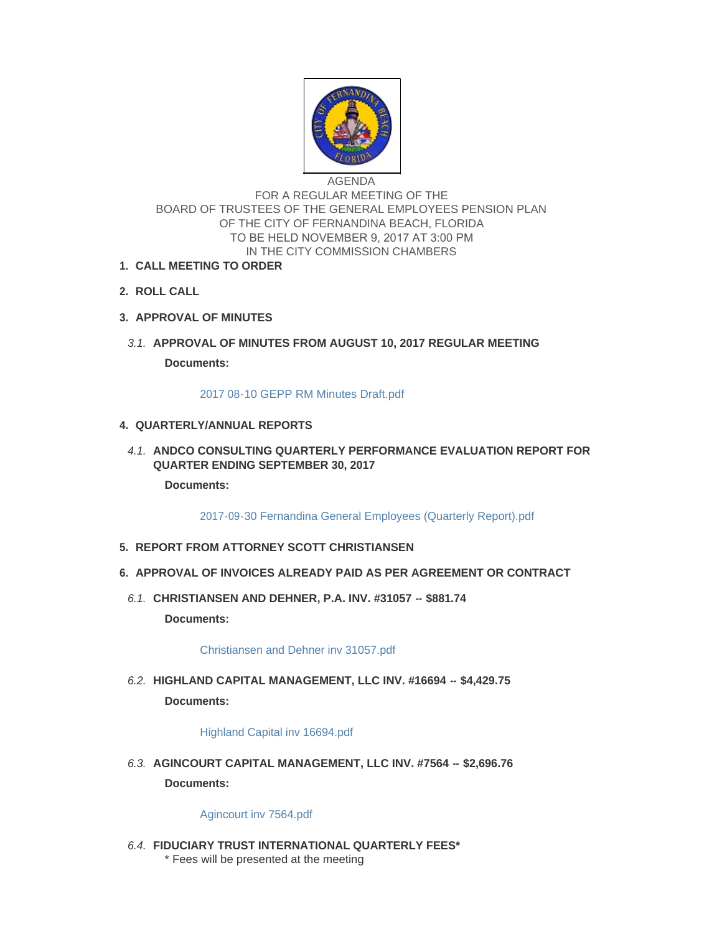

# AGENDA FOR A REGULAR MEETING OF THE BOARD OF TRUSTEES OF THE GENERAL EMPLOYEES PENSION PLAN OF THE CITY OF FERNANDINA BEACH, FLORIDA TO BE HELD NOVEMBER 9, 2017 AT 3:00 PM IN THE CITY COMMISSION CHAMBERS

- **CALL MEETING TO ORDER 1.**
- **ROLL CALL 2.**
- **APPROVAL OF MINUTES 3.**
- **APPROVAL OF MINUTES FROM AUGUST 10, 2017 REGULAR MEETING** *3.1.*

**Documents:**

#### [2017 08-10 GEPP RM Minutes Draft.pdf](http://fl-fernandinabeach3.civicplus.com/AgendaCenter/ViewFile/Item/8343?fileID=5454)

### **QUARTERLY/ANNUAL REPORTS 4.**

**A.1. ANDCO CONSULTING QUARTERLY PERFORMANCE EVALUATION REPORT FOR QUARTER ENDING SEPTEMBER 30, 2017**

**Documents:**

[2017-09-30 Fernandina General Employees \(Quarterly Report\).pdf](http://fl-fernandinabeach3.civicplus.com/AgendaCenter/ViewFile/Item/8364?fileID=5459)

- **REPORT FROM ATTORNEY SCOTT CHRISTIANSEN 5.**
- **APPROVAL OF INVOICES ALREADY PAID AS PER AGREEMENT OR CONTRACT 6.**
- **CHRISTIANSEN AND DEHNER, P.A. INV. #31057 -- \$881.74** *6.1.* **Documents:**

[Christiansen and Dehner inv 31057.pdf](http://fl-fernandinabeach3.civicplus.com/AgendaCenter/ViewFile/Item/8344?fileID=5438)

**HIGHLAND CAPITAL MANAGEMENT, LLC INV. #16694 -- \$4,429.75** *6.2.* **Documents:**

[Highland Capital inv 16694.pdf](http://fl-fernandinabeach3.civicplus.com/AgendaCenter/ViewFile/Item/8345?fileID=5439)

**AGINCOURT CAPITAL MANAGEMENT, LLC INV. #7564 -- \$2,696.76** *6.3.* **Documents:**

#### [Agincourt inv 7564.pdf](http://fl-fernandinabeach3.civicplus.com/AgendaCenter/ViewFile/Item/8346?fileID=5440)

**FIDUCIARY TRUST INTERNATIONAL QUARTERLY FEES\*** *6.4.* \* Fees will be presented at the meeting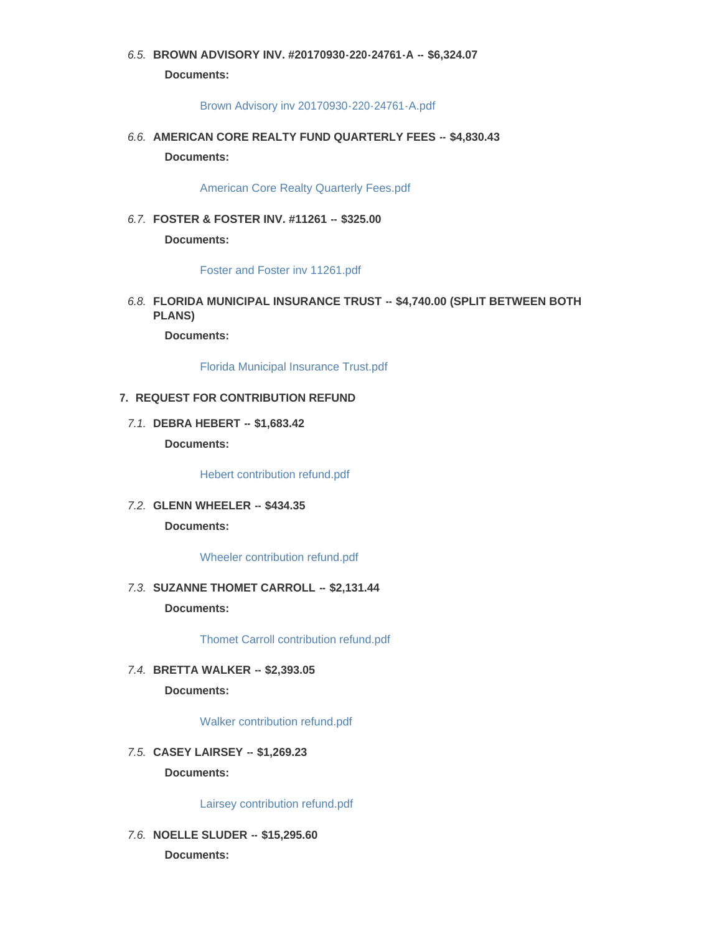# **BROWN ADVISORY INV. #20170930-220-24761-A -- \$6,324.07** *6.5.* **Documents:**

#### [Brown Advisory inv 20170930-220-24761-A.pdf](http://fl-fernandinabeach3.civicplus.com/AgendaCenter/ViewFile/Item/8348?fileID=5441)

**AMERICAN CORE REALTY FUND QUARTERLY FEES -- \$4,830.43** *6.6.* **Documents:**

[American Core Realty Quarterly Fees.pdf](http://fl-fernandinabeach3.civicplus.com/AgendaCenter/ViewFile/Item/8349?fileID=5442)

**FOSTER & FOSTER INV. #11261 -- \$325.00** *6.7.* **Documents:**

[Foster and Foster inv 11261.pdf](http://fl-fernandinabeach3.civicplus.com/AgendaCenter/ViewFile/Item/8350?fileID=5443)

**FLORIDA MUNICIPAL INSURANCE TRUST -- \$4,740.00 (SPLIT BETWEEN BOTH**  *6.8.* **PLANS)**

**Documents:**

[Florida Municipal Insurance Trust.pdf](http://fl-fernandinabeach3.civicplus.com/AgendaCenter/ViewFile/Item/8351?fileID=5444)

#### **REQUEST FOR CONTRIBUTION REFUND 7.**

**DEBRA HEBERT -- \$1,683.42** *7.1.* **Documents:**

[Hebert contribution refund.pdf](http://fl-fernandinabeach3.civicplus.com/AgendaCenter/ViewFile/Item/8352?fileID=5445)

**GLENN WHEELER -- \$434.35** *7.2.* **Documents:**

[Wheeler contribution refund.pdf](http://fl-fernandinabeach3.civicplus.com/AgendaCenter/ViewFile/Item/8353?fileID=5446)

**SUZANNE THOMET CARROLL -- \$2,131.44** *7.3.* **Documents:**

[Thomet Carroll contribution refund.pdf](http://fl-fernandinabeach3.civicplus.com/AgendaCenter/ViewFile/Item/8354?fileID=5447)

**BRETTA WALKER -- \$2,393.05** *7.4.*

**Documents:**

[Walker contribution refund.pdf](http://fl-fernandinabeach3.civicplus.com/AgendaCenter/ViewFile/Item/8355?fileID=5448)

**CASEY LAIRSEY -- \$1,269.23** *7.5.* **Documents:**

[Lairsey contribution refund.pdf](http://fl-fernandinabeach3.civicplus.com/AgendaCenter/ViewFile/Item/8356?fileID=5449)

**NOELLE SLUDER -- \$15,295.60** *7.6.* **Documents:**